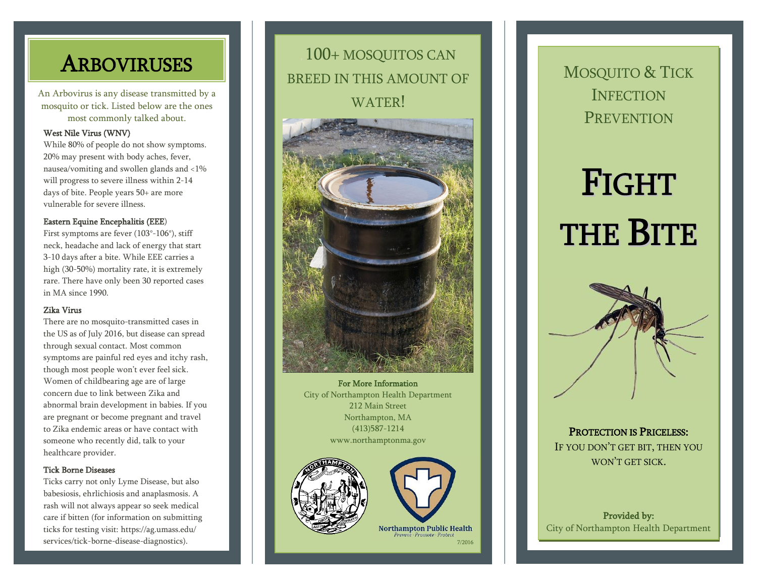An Arbovirus is any disease transmitted by a mosquito or tick. Listed below are the ones most commonly talked about.

#### West Nile Virus (WNV)

While 80% of people do not show symptoms. 20% may present with body aches, fever, nausea/vomiting and swollen glands and <1% will progress to severe illness within 2-14 days of bite. People years 50+ are more vulnerable for severe illness.

#### Eastern Equine Encephalitis (EEE)

First symptoms are fever (103°-106°), stiff neck, headache and lack of energy that start 3-10 days after a bite. While EEE carries a high (30-50%) mortality rate, it is extremely rare. There have only been 30 reported cases in MA since 1990.

#### Zika Virus

There are no mosquito-transmitted cases in the US as of July 2016, but disease can spread through sexual contact. Most common symptoms are painful red eyes and itchy rash, though most people won't ever feel sick. Women of childbearing age are of large concern due to link between Zika and abnormal brain development in babies. If you are pregnant or become pregnant and travel to Zika endemic areas or have contact with someone who recently did, talk to your healthcare provider.

#### Tick Borne Diseases

Ticks carry not only Lyme Disease, but also babesiosis, ehrlichiosis and anaplasmosis. A rash will not always appear so seek medical care if bitten (for information on submitting ticks for testing visit: https://ag.umass.edu/ services/tick-borne-disease-diagnostics).

#### , 100+ MOSQUITOS CAN BREED IN THIS AMOUNT OF WATER! **ARBOVIRUSES EXECUTED BEEFO IN THIS AMOUNT OF REAL MOSQUITO & TICK**



For More Information City of Northampton Health Department 212 Main Street Northampton, MA (413)587-1214 www.northamptonma.gov





Promote - Protect 7/2016

# **INFECTION PREVENTION**

# FIGHT THE BITE



PROTECTION IS PRICELESS: IF YOU DON'T GET BIT, THEN YOU WON'T GET SICK.

Provided by: City of Northampton Health Department